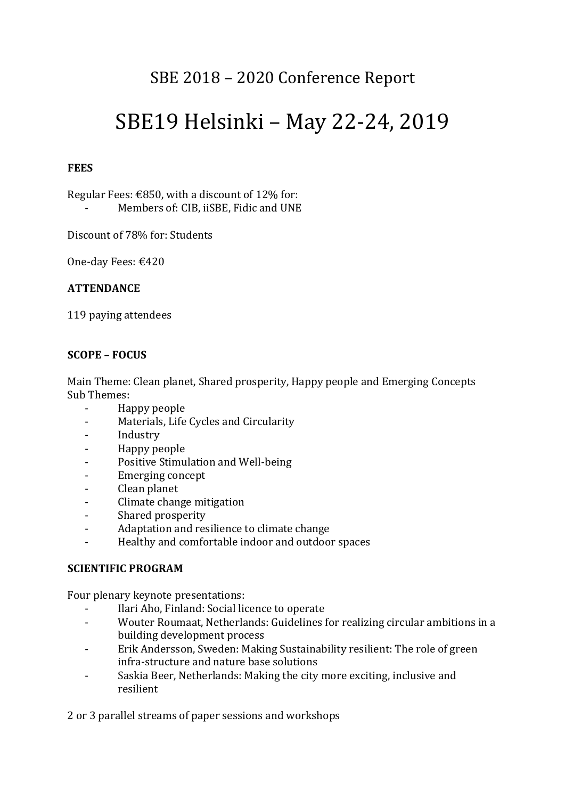# SBE 2018 - 2020 Conference Report

# SBE19 Helsinki - May 22-24, 2019

# **FEES**

Regular Fees:  $\epsilon$ 850, with a discount of 12% for: Members of: CIB, iiSBE, Fidic and UNE

Discount of 78% for: Students

One-day Fees: €420

#### **ATTENDANCE**

119 paying attendees

# **SCOPE – FOCUS**

Main Theme: Clean planet, Shared prosperity, Happy people and Emerging Concepts Sub Themes:

- Happy people
- Materials, Life Cycles and Circularity
- Industry
- Happy people
- Positive Stimulation and Well-being
- Emerging concept
- Clean planet
- Climate change mitigation
- Shared prosperity
- Adaptation and resilience to climate change
- Healthy and comfortable indoor and outdoor spaces

#### **SCIENTIFIC PROGRAM**

Four plenary keynote presentations:

- Ilari Aho, Finland: Social licence to operate
- Wouter Roumaat, Netherlands: Guidelines for realizing circular ambitions in a building development process
- Erik Andersson, Sweden: Making Sustainability resilient: The role of green infra-structure and nature base solutions
- Saskia Beer, Netherlands: Making the city more exciting, inclusive and resilient

2 or 3 parallel streams of paper sessions and workshops